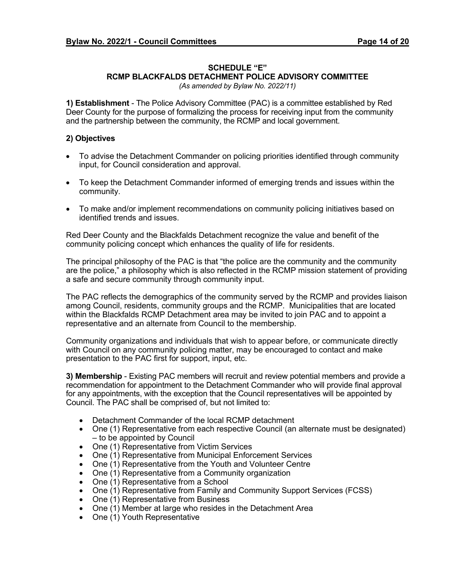## **SCHEDULE "E"**

## **RCMP BLACKFALDS DETACHMENT POLICE ADVISORY COMMITTEE**

*(As amended by Bylaw No. 2022/11)*

**1) Establishment** - The Police Advisory Committee (PAC) is a committee established by Red Deer County for the purpose of formalizing the process for receiving input from the community and the partnership between the community, the RCMP and local government.

## **2) Objectives**

- To advise the Detachment Commander on policing priorities identified through community input, for Council consideration and approval.
- To keep the Detachment Commander informed of emerging trends and issues within the community.
- To make and/or implement recommendations on community policing initiatives based on identified trends and issues.

Red Deer County and the Blackfalds Detachment recognize the value and benefit of the community policing concept which enhances the quality of life for residents.

The principal philosophy of the PAC is that "the police are the community and the community are the police," a philosophy which is also reflected in the RCMP mission statement of providing a safe and secure community through community input.

The PAC reflects the demographics of the community served by the RCMP and provides liaison among Council, residents, community groups and the RCMP. Municipalities that are located within the Blackfalds RCMP Detachment area may be invited to join PAC and to appoint a representative and an alternate from Council to the membership.

Community organizations and individuals that wish to appear before, or communicate directly with Council on any community policing matter, may be encouraged to contact and make presentation to the PAC first for support, input, etc.

**3) Membership** - Existing PAC members will recruit and review potential members and provide a recommendation for appointment to the Detachment Commander who will provide final approval for any appointments, with the exception that the Council representatives will be appointed by Council. The PAC shall be comprised of, but not limited to:

- Detachment Commander of the local RCMP detachment
- One (1) Representative from each respective Council (an alternate must be designated) – to be appointed by Council
- One (1) Representative from Victim Services
- One (1) Representative from Municipal Enforcement Services
- One (1) Representative from the Youth and Volunteer Centre
- One (1) Representative from a Community organization
- One (1) Representative from a School
- One (1) Representative from Family and Community Support Services (FCSS)
- One (1) Representative from Business
- One (1) Member at large who resides in the Detachment Area
- One (1) Youth Representative